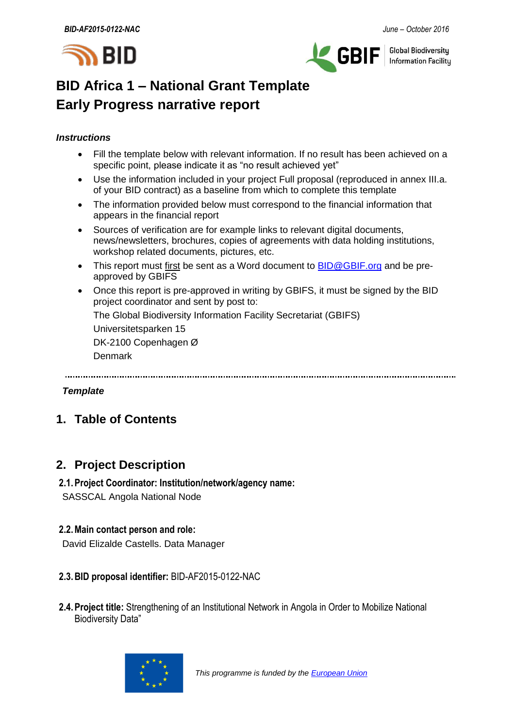



**Global Biodiversity Information Facilitu** 

# **BID Africa 1 – National Grant Template Early Progress narrative report**

#### *Instructions*

- Fill the template below with relevant information. If no result has been achieved on a specific point, please indicate it as "no result achieved yet"
- Use the information included in your project Full proposal (reproduced in annex III.a. of your BID contract) as a baseline from which to complete this template
- The information provided below must correspond to the financial information that appears in the financial report
- Sources of verification are for example links to relevant digital documents, news/newsletters, brochures, copies of agreements with data holding institutions, workshop related documents, pictures, etc.
- This report must first be sent as a Word document to **BID@GBIF.org** and be preapproved by GBIFS
- Once this report is pre-approved in writing by GBIFS, it must be signed by the BID project coordinator and sent by post to:

The Global Biodiversity Information Facility Secretariat (GBIFS)

Universitetsparken 15

DK-2100 Copenhagen Ø

Denmark

#### *Template*

## **1. Table of Contents**

### **2. Project Description**

### **2.1.Project Coordinator: Institution/network/agency name:**

SASSCAL Angola National Node

#### **2.2.Main contact person and role:**

David Elizalde Castells. Data Manager

#### **2.3.BID proposal identifier:** BID-AF2015-0122-NAC

**2.4.Project title:** Strengthening of an Institutional Network in Angola in Order to Mobilize National Biodiversity Data"

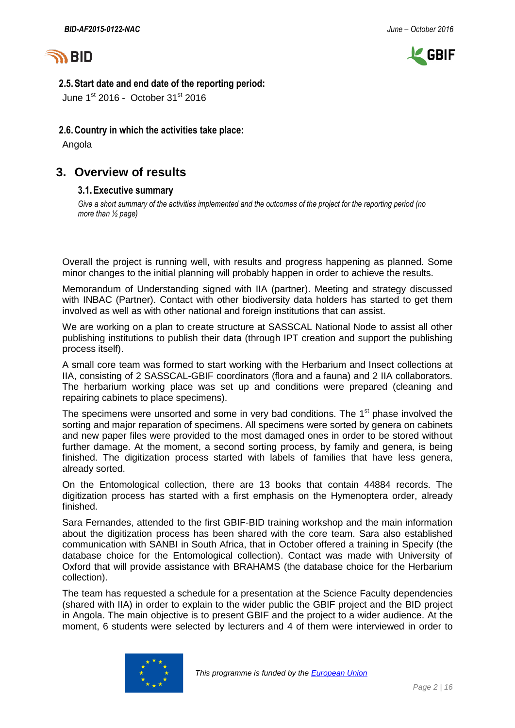



#### **2.5.Start date and end date of the reporting period:**

June  $1^{st}$  2016 - October 31 $st$  2016

#### **2.6.Country in which the activities take place:**

Angola

### **3. Overview of results**

#### **3.1.Executive summary**

*Give a short summary of the activities implemented and the outcomes of the project for the reporting period (no more than ½ page)*

Overall the project is running well, with results and progress happening as planned. Some minor changes to the initial planning will probably happen in order to achieve the results.

Memorandum of Understanding signed with IIA (partner). Meeting and strategy discussed with INBAC (Partner). Contact with other biodiversity data holders has started to get them involved as well as with other national and foreign institutions that can assist.

We are working on a plan to create structure at SASSCAL National Node to assist all other publishing institutions to publish their data (through IPT creation and support the publishing process itself).

A small core team was formed to start working with the Herbarium and Insect collections at IIA, consisting of 2 SASSCAL-GBIF coordinators (flora and a fauna) and 2 IIA collaborators. The herbarium working place was set up and conditions were prepared (cleaning and repairing cabinets to place specimens).

The specimens were unsorted and some in very bad conditions. The  $1<sup>st</sup>$  phase involved the sorting and major reparation of specimens. All specimens were sorted by genera on cabinets and new paper files were provided to the most damaged ones in order to be stored without further damage. At the moment, a second sorting process, by family and genera, is being finished. The digitization process started with labels of families that have less genera, already sorted.

On the Entomological collection, there are 13 books that contain 44884 records. The digitization process has started with a first emphasis on the Hymenoptera order, already finished.

Sara Fernandes, attended to the first GBIF-BID training workshop and the main information about the digitization process has been shared with the core team. Sara also established communication with SANBI in South Africa, that in October offered a training in Specify (the database choice for the Entomological collection). Contact was made with University of Oxford that will provide assistance with BRAHAMS (the database choice for the Herbarium collection).

The team has requested a schedule for a presentation at the Science Faculty dependencies (shared with IIA) in order to explain to the wider public the GBIF project and the BID project in Angola. The main objective is to present GBIF and the project to a wider audience. At the moment, 6 students were selected by lecturers and 4 of them were interviewed in order to

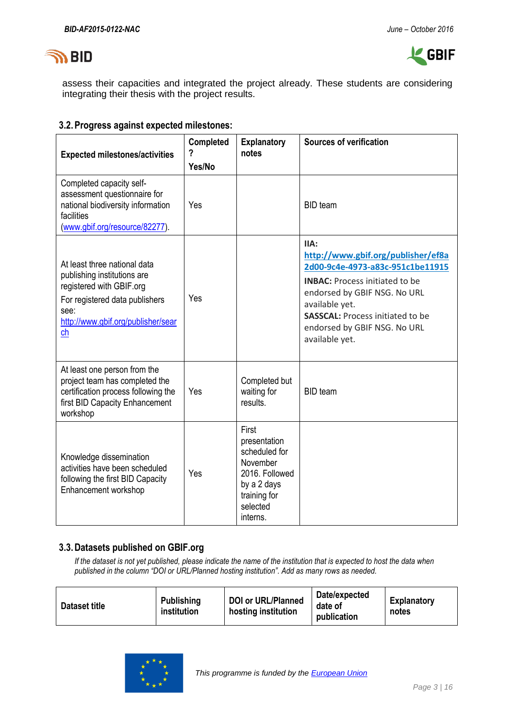



assess their capacities and integrated the project already. These students are considering integrating their thesis with the project results.

#### **3.2.Progress against expected milestones:**

| <b>Expected milestones/activities</b>                                                                                                                                         | <b>Completed</b><br>?<br>Yes/No | <b>Explanatory</b><br>notes                                                                                                 | <b>Sources of verification</b>                                                                                                                                                                                                                                         |
|-------------------------------------------------------------------------------------------------------------------------------------------------------------------------------|---------------------------------|-----------------------------------------------------------------------------------------------------------------------------|------------------------------------------------------------------------------------------------------------------------------------------------------------------------------------------------------------------------------------------------------------------------|
| Completed capacity self-<br>assessment questionnaire for<br>national biodiversity information<br>facilities<br>(www.gbif.org/resource/82277).                                 | Yes                             |                                                                                                                             | <b>BID</b> team                                                                                                                                                                                                                                                        |
| At least three national data<br>publishing institutions are<br>registered with GBIF.org<br>For registered data publishers<br>see:<br>http://www.gbif.org/publisher/sear<br>ch | Yes                             |                                                                                                                             | IIA:<br>http://www.gbif.org/publisher/ef8a<br>2d00-9c4e-4973-a83c-951c1be11915<br><b>INBAC:</b> Process initiated to be<br>endorsed by GBIF NSG. No URL<br>available yet.<br><b>SASSCAL: Process initiated to be</b><br>endorsed by GBIF NSG. No URL<br>available yet. |
| At least one person from the<br>project team has completed the<br>certification process following the<br>first BID Capacity Enhancement<br>workshop                           | Yes                             | Completed but<br>waiting for<br>results.                                                                                    | <b>BID</b> team                                                                                                                                                                                                                                                        |
| Knowledge dissemination<br>activities have been scheduled<br>following the first BID Capacity<br>Enhancement workshop                                                         | Yes                             | First<br>presentation<br>scheduled for<br>November<br>2016. Followed<br>by a 2 days<br>training for<br>selected<br>interns. |                                                                                                                                                                                                                                                                        |

#### **3.3.Datasets published on GBIF.org**

*If the dataset is not yet published, please indicate the name of the institution that is expected to host the data when published in the column "DOI or URL/Planned hosting institution". Add as many rows as needed.*

| Dataset title | Publishing<br>institution | <b>DOI or URL/Planned</b><br>hosting institution | Date/expected<br>date of<br>publication | Explanatory<br>notes |
|---------------|---------------------------|--------------------------------------------------|-----------------------------------------|----------------------|
|---------------|---------------------------|--------------------------------------------------|-----------------------------------------|----------------------|

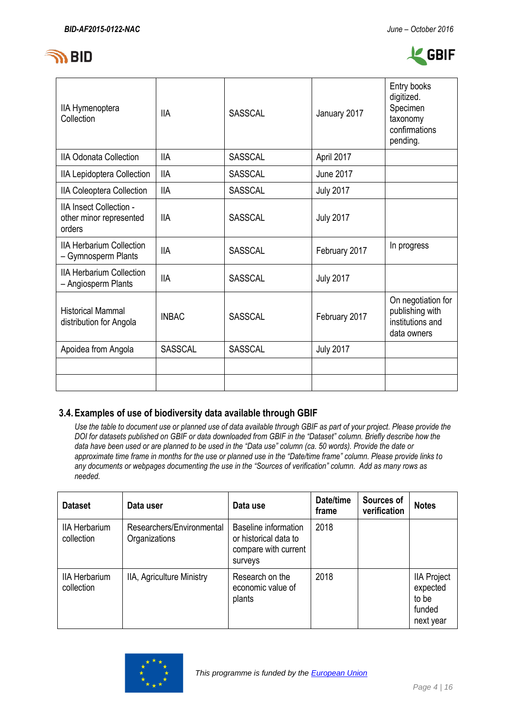



| IIA Hymenoptera<br>Collection                                       | <b>IIA</b>     | <b>SASSCAL</b> | January 2017     | Entry books<br>digitized.<br>Specimen<br>taxonomy<br>confirmations<br>pending. |
|---------------------------------------------------------------------|----------------|----------------|------------------|--------------------------------------------------------------------------------|
| <b>IIA Odonata Collection</b>                                       | <b>IIA</b>     | <b>SASSCAL</b> | April 2017       |                                                                                |
| IIA Lepidoptera Collection                                          | <b>IIA</b>     | <b>SASSCAL</b> | <b>June 2017</b> |                                                                                |
| IIA Coleoptera Collection                                           | <b>IIA</b>     | <b>SASSCAL</b> | <b>July 2017</b> |                                                                                |
| <b>IIA Insect Collection -</b><br>other minor represented<br>orders | <b>IIA</b>     | <b>SASSCAL</b> | <b>July 2017</b> |                                                                                |
| <b>IIA Herbarium Collection</b><br>- Gymnosperm Plants              | <b>IIA</b>     | <b>SASSCAL</b> | February 2017    | In progress                                                                    |
| <b>IIA Herbarium Collection</b><br>- Angiosperm Plants              | <b>IIA</b>     | <b>SASSCAL</b> | <b>July 2017</b> |                                                                                |
| <b>Historical Mammal</b><br>distribution for Angola                 | <b>INBAC</b>   | <b>SASSCAL</b> | February 2017    | On negotiation for<br>publishing with<br>institutions and<br>data owners       |
| Apoidea from Angola                                                 | <b>SASSCAL</b> | <b>SASSCAL</b> | <b>July 2017</b> |                                                                                |
|                                                                     |                |                |                  |                                                                                |
|                                                                     |                |                |                  |                                                                                |

#### **3.4.Examples of use of biodiversity data available through GBIF**

*Use the table to document use or planned use of data available through GBIF as part of your project. Please provide the DOI for datasets published on GBIF or data downloaded from GBIF in the "Dataset" column. Briefly describe how the data have been used or are planned to be used in the "Data use" column (ca. 50 words). Provide the date or approximate time frame in months for the use or planned use in the "Date/time frame" column. Please provide links to any documents or webpages documenting the use in the "Sources of verification" column. Add as many rows as needed.*

| <b>Dataset</b>                     | Data user                                  | Data use                                                                         | Date/time<br>frame | Sources of<br>verification | <b>Notes</b>                                                   |
|------------------------------------|--------------------------------------------|----------------------------------------------------------------------------------|--------------------|----------------------------|----------------------------------------------------------------|
| <b>IIA Herbarium</b><br>collection | Researchers/Environmental<br>Organizations | Baseline information<br>or historical data to<br>compare with current<br>surveys | 2018               |                            |                                                                |
| <b>IIA Herbarium</b><br>collection | IIA, Agriculture Ministry                  | Research on the<br>economic value of<br>plants                                   | 2018               |                            | <b>IIA Project</b><br>expected<br>to be<br>funded<br>next year |

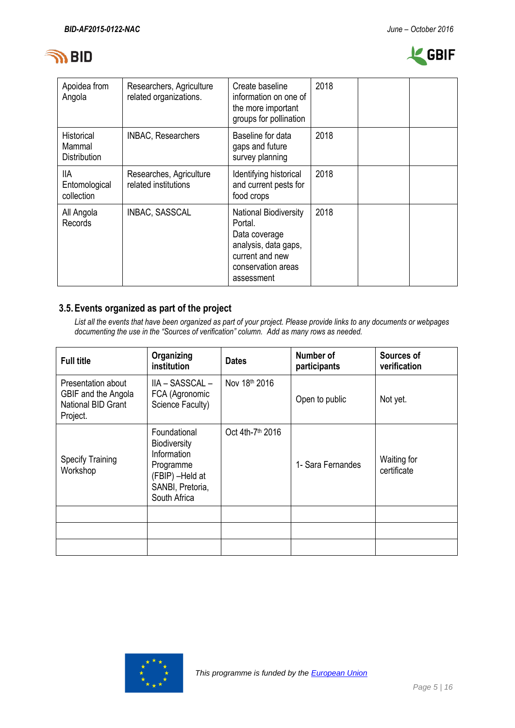



| Apoidea from<br>Angola                      | Researchers, Agriculture<br>related organizations. | Create baseline<br>information on one of<br>the more important<br>groups for pollination                                                | 2018 |  |
|---------------------------------------------|----------------------------------------------------|-----------------------------------------------------------------------------------------------------------------------------------------|------|--|
| Historical<br>Mammal<br><b>Distribution</b> | <b>INBAC, Researchers</b>                          | Baseline for data<br>gaps and future<br>survey planning                                                                                 | 2018 |  |
| 11A<br>Entomological<br>collection          | Researches, Agriculture<br>related institutions    | Identifying historical<br>and current pests for<br>food crops                                                                           | 2018 |  |
| All Angola<br>Records                       | INBAC, SASSCAL                                     | <b>National Biodiversity</b><br>Portal.<br>Data coverage<br>analysis, data gaps,<br>current and new<br>conservation areas<br>assessment | 2018 |  |

### **3.5.Events organized as part of the project**

*List all the events that have been organized as part of your project. Please provide links to any documents or webpages documenting the use in the "Sources of verification" column. Add as many rows as needed.*

| <b>Full title</b>                                                           | Organizing<br>institution                                                                                              | <b>Dates</b>     | Number of<br>participants | Sources of<br>verification |
|-----------------------------------------------------------------------------|------------------------------------------------------------------------------------------------------------------------|------------------|---------------------------|----------------------------|
| Presentation about<br>GBIF and the Angola<br>National BID Grant<br>Project. | IIA – SASSCAL –<br>FCA (Agronomic<br>Science Faculty)                                                                  | Nov 18th 2016    | Open to public            | Not yet.                   |
| <b>Specify Training</b><br>Workshop                                         | Foundational<br><b>Biodiversity</b><br>Information<br>Programme<br>(FBIP) -Held at<br>SANBI, Pretoria,<br>South Africa | Oct 4th-7th 2016 | 1- Sara Fernandes         | Waiting for<br>certificate |
|                                                                             |                                                                                                                        |                  |                           |                            |
|                                                                             |                                                                                                                        |                  |                           |                            |
|                                                                             |                                                                                                                        |                  |                           |                            |

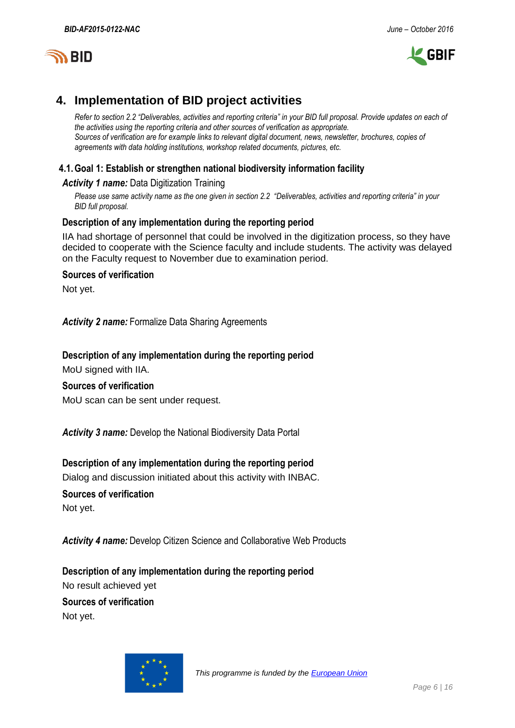



### **4. Implementation of BID project activities**

*Refer to section 2.2 "Deliverables, activities and reporting criteria" in your BID full proposal. Provide updates on each of the activities using the reporting criteria and other sources of verification as appropriate. Sources of verification are for example links to relevant digital document, news, newsletter, brochures, copies of agreements with data holding institutions, workshop related documents, pictures, etc.*

#### **4.1.Goal 1: Establish or strengthen national biodiversity information facility**

#### *Activity 1 name:* Data Digitization Training

*Please use same activity name as the one given in section 2.2 "Deliverables, activities and reporting criteria" in your BID full proposal.*

#### **Description of any implementation during the reporting period**

IIA had shortage of personnel that could be involved in the digitization process, so they have decided to cooperate with the Science faculty and include students. The activity was delayed on the Faculty request to November due to examination period.

#### **Sources of verification**

Not yet.

*Activity 2 name:* Formalize Data Sharing Agreements

#### **Description of any implementation during the reporting period** MoU signed with IIA.

#### **Sources of verification**

MoU scan can be sent under request.

*Activity 3 name:* Develop the National Biodiversity Data Portal

#### **Description of any implementation during the reporting period**

Dialog and discussion initiated about this activity with INBAC.

#### **Sources of verification**

Not yet.

*Activity 4 name:* Develop Citizen Science and Collaborative Web Products

**Description of any implementation during the reporting period** No result achieved yet **Sources of verification**

Not yet.

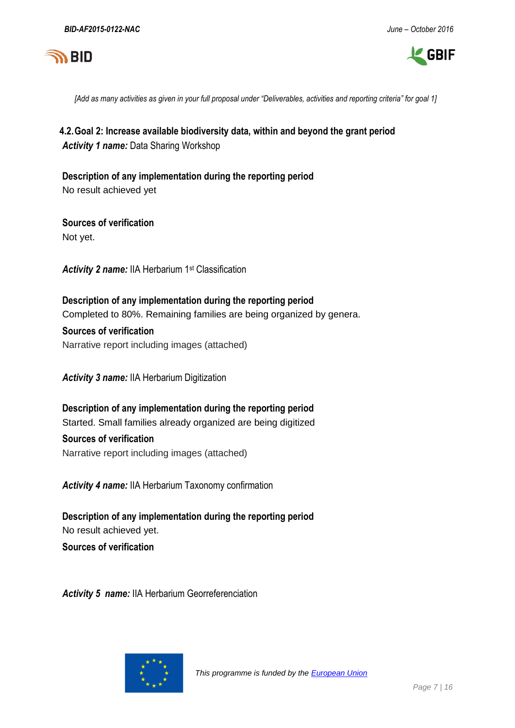



*[Add as many activities as given in your full proposal under "Deliverables, activities and reporting criteria" for goal 1]*

**4.2.Goal 2: Increase available biodiversity data, within and beyond the grant period** *Activity 1 name:* Data Sharing Workshop

**Description of any implementation during the reporting period** No result achieved yet

**Sources of verification** Not yet.

*Activity 2 name:* IIA Herbarium 1st Classification

**Description of any implementation during the reporting period** Completed to 80%. Remaining families are being organized by genera.

**Sources of verification** Narrative report including images (attached)

*Activity 3 name:* IIA Herbarium Digitization

**Description of any implementation during the reporting period** Started. Small families already organized are being digitized

**Sources of verification** Narrative report including images (attached)

*Activity 4 name:* IIA Herbarium Taxonomy confirmation

**Description of any implementation during the reporting period** No result achieved yet.

**Sources of verification**

*Activity 5 name:* IIA Herbarium Georreferenciation

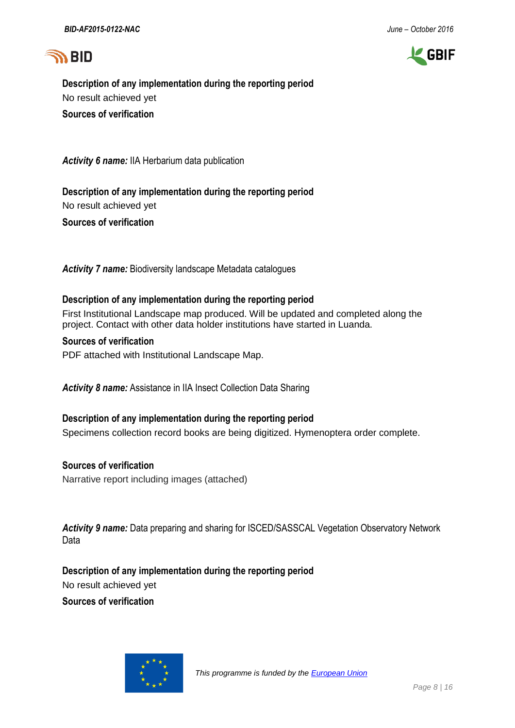



**Description of any implementation during the reporting period** No result achieved yet **Sources of verification**

*Activity 6 name:* IIA Herbarium data publication

**Description of any implementation during the reporting period** No result achieved yet **Sources of verification**

*Activity 7 name:* Biodiversity landscape Metadata catalogues

#### **Description of any implementation during the reporting period**

First Institutional Landscape map produced. Will be updated and completed along the project. Contact with other data holder institutions have started in Luanda.

#### **Sources of verification**

PDF attached with Institutional Landscape Map.

**Activity 8 name:** Assistance in IIA Insect Collection Data Sharing

#### **Description of any implementation during the reporting period**

Specimens collection record books are being digitized. Hymenoptera order complete.

#### **Sources of verification**

Narrative report including images (attached)

*Activity 9 name:* Data preparing and sharing for ISCED/SASSCAL Vegetation Observatory Network Data

**Description of any implementation during the reporting period**

No result achieved yet

**Sources of verification**

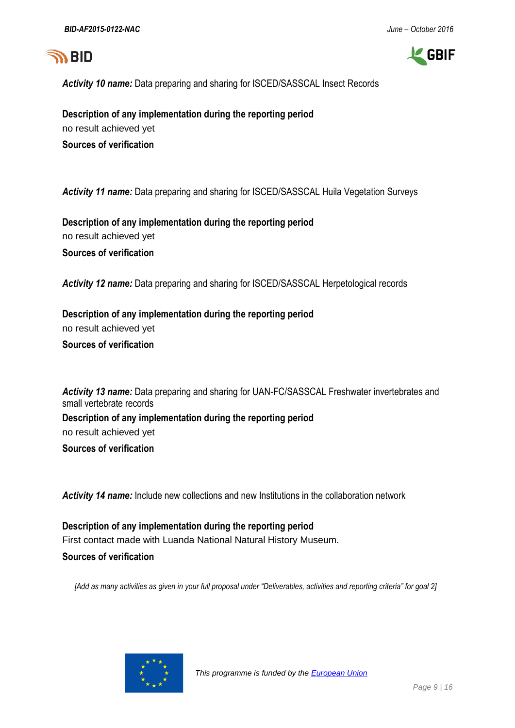



*Activity 10 name:* Data preparing and sharing for ISCED/SASSCAL Insect Records

**Description of any implementation during the reporting period** no result achieved yet **Sources of verification**

*Activity 11 name:* Data preparing and sharing for ISCED/SASSCAL Huila Vegetation Surveys

**Description of any implementation during the reporting period** no result achieved yet **Sources of verification**

*Activity 12 name:* Data preparing and sharing for ISCED/SASSCAL Herpetological records

**Description of any implementation during the reporting period** no result achieved yet **Sources of verification**

*Activity 13 name:* Data preparing and sharing for UAN-FC/SASSCAL Freshwater invertebrates and small vertebrate records **Description of any implementation during the reporting period** no result achieved yet **Sources of verification**

*Activity 14 name:* Include new collections and new Institutions in the collaboration network

**Description of any implementation during the reporting period** First contact made with Luanda National Natural History Museum. **Sources of verification**

*[Add as many activities as given in your full proposal under "Deliverables, activities and reporting criteria" for goal 2]*

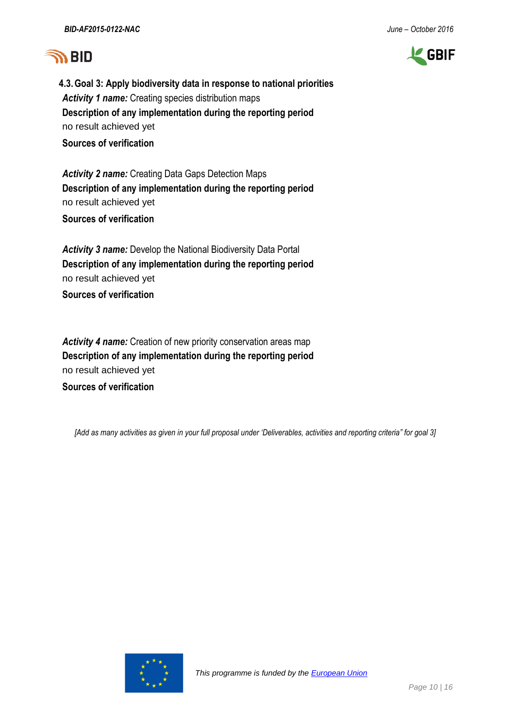# **SA BID**



**4.3.Goal 3: Apply biodiversity data in response to national priorities** *Activity 1 name:* Creating species distribution maps **Description of any implementation during the reporting period** no result achieved yet **Sources of verification**

*Activity 2 name:* Creating Data Gaps Detection Maps **Description of any implementation during the reporting period** no result achieved yet

**Sources of verification**

*Activity 3 name:* Develop the National Biodiversity Data Portal **Description of any implementation during the reporting period** no result achieved yet

**Sources of verification**

*Activity 4 name:* Creation of new priority conservation areas map **Description of any implementation during the reporting period** no result achieved yet **Sources of verification**

*[Add as many activities as given in your full proposal under 'Deliverables, activities and reporting criteria" for goal 3]*

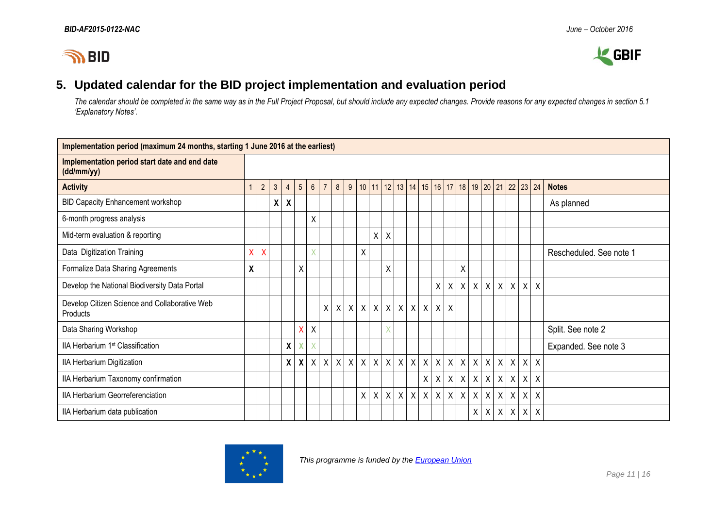



### **5. Updated calendar for the BID project implementation and evaluation period**

*The calendar should be completed in the same way as in the Full Project Proposal, but should include any expected changes. Provide reasons for any expected changes in section 5.1 'Explanatory Notes'.*

| Implementation period (maximum 24 months, starting 1 June 2016 at the earliest) |              |                |   |                |                           |                |                |                           |              |         |         |              |                                   |              |              |   |            |              |                  |   |                  |              |                           |                         |
|---------------------------------------------------------------------------------|--------------|----------------|---|----------------|---------------------------|----------------|----------------|---------------------------|--------------|---------|---------|--------------|-----------------------------------|--------------|--------------|---|------------|--------------|------------------|---|------------------|--------------|---------------------------|-------------------------|
| Implementation period start date and end date<br>(dd/mm/yy)                     |              |                |   |                |                           |                |                |                           |              |         |         |              |                                   |              |              |   |            |              |                  |   |                  |              |                           |                         |
| <b>Activity</b>                                                                 |              | $\overline{2}$ | 3 | $\overline{4}$ | $5\phantom{.0}$           | $6\phantom{1}$ | $\overline{7}$ | 8                         | 9            | 10      |         |              | $11 \mid 12 \mid 13 \mid 14 \mid$ | 15           |              |   | $16$ 17 18 |              | 19 20 21 22      |   |                  |              | 23 24                     | <b>Notes</b>            |
| <b>BID Capacity Enhancement workshop</b>                                        |              |                | X | X              |                           |                |                |                           |              |         |         |              |                                   |              |              |   |            |              |                  |   |                  |              |                           | As planned              |
| 6-month progress analysis                                                       |              |                |   |                |                           | X              |                |                           |              |         |         |              |                                   |              |              |   |            |              |                  |   |                  |              |                           |                         |
| Mid-term evaluation & reporting                                                 |              |                |   |                |                           |                |                |                           |              |         | Χ       | $\mathsf{X}$ |                                   |              |              |   |            |              |                  |   |                  |              |                           |                         |
| Data Digitization Training                                                      | $\mathsf{X}$ | $\mathsf{X}$   |   |                |                           | X              |                |                           |              | Χ       |         |              |                                   |              |              |   |            |              |                  |   |                  |              |                           | Rescheduled. See note 1 |
| Formalize Data Sharing Agreements                                               | χ            |                |   |                | X                         |                |                |                           |              |         |         | X            |                                   |              |              |   | Χ          |              |                  |   |                  |              |                           |                         |
| Develop the National Biodiversity Data Portal                                   |              |                |   |                |                           |                |                |                           |              |         |         |              |                                   |              | Χ            | Χ | $\sf X$    | $\mathsf X$  | $\boldsymbol{X}$ |   | $X$ $X$          | X            | X                         |                         |
| Develop Citizen Science and Collaborative Web<br><b>Products</b>                |              |                |   |                |                           |                | X              | $\mathsf{X}$              | $\mathsf{X}$ |         |         |              | $x \mid x \mid x \mid x \mid x$   | $\mathsf X$  | X            | X |            |              |                  |   |                  |              |                           |                         |
| Data Sharing Workshop                                                           |              |                |   |                | X                         | Χ              |                |                           |              |         |         | X            |                                   |              |              |   |            |              |                  |   |                  |              |                           | Split. See note 2       |
| IIA Herbarium 1st Classification                                                |              |                |   | χ              |                           | X              |                |                           |              |         |         |              |                                   |              |              |   |            |              |                  |   |                  |              |                           | Expanded. See note 3    |
| IIA Herbarium Digitization                                                      |              |                |   | X              | $\boldsymbol{\mathsf{X}}$ | $\mathsf{X}$   | $\mathsf{X}$   | $\boldsymbol{\mathsf{X}}$ |              | $X$ $X$ |         |              | x   x   x   x                     | $\mathsf{X}$ | $\chi$       |   | $x \mid x$ | $\mathsf{X}$ | $\mathsf{X}$     |   | $X$ $X$          | X            | $\boldsymbol{\mathsf{X}}$ |                         |
| IIA Herbarium Taxonomy confirmation                                             |              |                |   |                |                           |                |                |                           |              |         |         |              |                                   | X            | X            | X | Χ          | X            | X                | X | $\boldsymbol{X}$ | $\mathsf{X}$ | $\sf X$                   |                         |
| IIA Herbarium Georreferenciation                                                |              |                |   |                |                           |                |                |                           |              | χ       | $\sf X$ | $\mathsf{X}$ | $X$ $X$                           | $\mathsf{X}$ | $\mathsf{X}$ |   | $X$ $X$    | $\mathsf{X}$ | $\boldsymbol{X}$ |   | $X$ $X$          | X            | $\boldsymbol{\mathsf{X}}$ |                         |
| IIA Herbarium data publication                                                  |              |                |   |                |                           |                |                |                           |              |         |         |              |                                   |              |              |   |            | Χ            | $\sf X$          |   | $X$ $X$          | $\mathsf{X}$ | $\boldsymbol{\mathsf{X}}$ |                         |

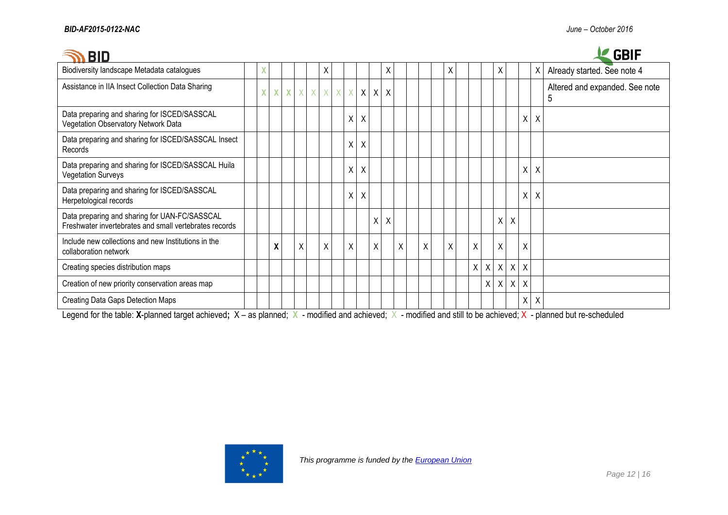| <b>BID</b>                                                                                              |    |   |              |   |   |   |            |              |              |              |   |   |   |   |         |                    |         |                           |                           | <b>GBIF</b>                         |
|---------------------------------------------------------------------------------------------------------|----|---|--------------|---|---|---|------------|--------------|--------------|--------------|---|---|---|---|---------|--------------------|---------|---------------------------|---------------------------|-------------------------------------|
| Biodiversity landscape Metadata catalogues                                                              | v  |   |              |   |   | X |            |              |              | Χ            |   |   | X |   |         | X                  |         |                           | X                         | Already started. See note 4         |
| Assistance in IIA Insect Collection Data Sharing                                                        | X. | X | $\mathbf{X}$ | X | X | X | $X \times$ | $\mathsf{X}$ |              | $X$ $X$      |   |   |   |   |         |                    |         |                           |                           | Altered and expanded. See note<br>5 |
| Data preparing and sharing for ISCED/SASSCAL<br>Vegetation Observatory Network Data                     |    |   |              |   |   |   | Χ          | X            |              |              |   |   |   |   |         |                    |         | X                         | Χ                         |                                     |
| Data preparing and sharing for ISCED/SASSCAL Insect<br>Records                                          |    |   |              |   |   |   | Χ          | X            |              |              |   |   |   |   |         |                    |         |                           |                           |                                     |
| Data preparing and sharing for ISCED/SASSCAL Huila<br><b>Vegetation Surveys</b>                         |    |   |              |   |   |   | X          | Χ            |              |              |   |   |   |   |         |                    |         | X                         | X                         |                                     |
| Data preparing and sharing for ISCED/SASSCAL<br>Herpetological records                                  |    |   |              |   |   |   | X          | $\pmb{\chi}$ |              |              |   |   |   |   |         |                    |         | $\sf X$                   | X                         |                                     |
| Data preparing and sharing for UAN-FC/SASSCAL<br>Freshwater invertebrates and small vertebrates records |    |   |              |   |   |   |            |              | $\mathsf{X}$ | $\mathsf{X}$ |   |   |   |   |         | $\pmb{\mathsf{X}}$ | X       |                           |                           |                                     |
| Include new collections and new Institutions in the<br>collaboration network                            |    | χ |              | X |   | X | X          |              | X            |              | X | X | X | X |         | Χ                  |         | X                         |                           |                                     |
| Creating species distribution maps                                                                      |    |   |              |   |   |   |            |              |              |              |   |   |   | X | $\sf X$ | $\mathsf X$        | $\sf X$ | $\boldsymbol{\mathsf{X}}$ |                           |                                     |
| Creation of new priority conservation areas map                                                         |    |   |              |   |   |   |            |              |              |              |   |   |   |   | Χ       | Χ                  | $\sf X$ | Χ                         |                           |                                     |
| <b>Creating Data Gaps Detection Maps</b>                                                                |    |   |              |   |   |   |            |              |              |              |   |   |   |   |         |                    |         | χ                         | $\boldsymbol{\mathsf{X}}$ |                                     |

Legend for the table: **X**-planned target achieved; X – as planned; X - modified and achieved; X - modified and still to be achieved; X - planned but re-scheduled

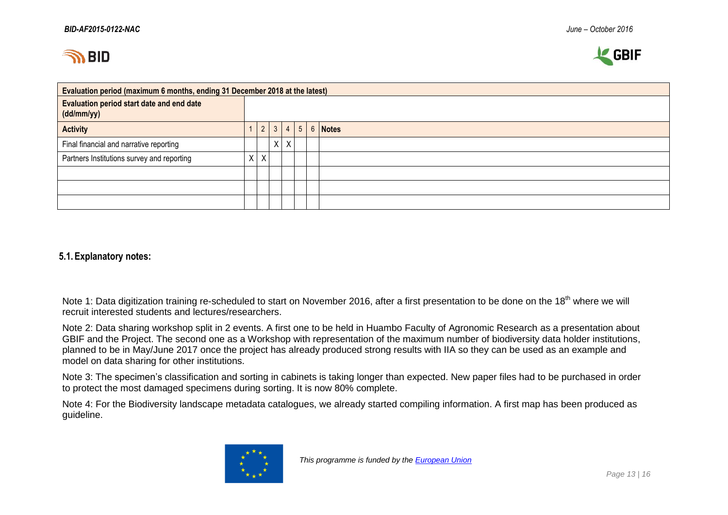



| Evaluation period (maximum 6 months, ending 31 December 2018 at the latest) |         |              |   |  |                              |
|-----------------------------------------------------------------------------|---------|--------------|---|--|------------------------------|
| <b>Evaluation period start date and end date</b><br>(dd/mm/yy)              |         |              |   |  |                              |
| <b>Activity</b>                                                             | 2       | $\mathbf{3}$ |   |  | $4 \mid 5 \mid 6 \mid$ Notes |
| Final financial and narrative reporting                                     |         | χ            | X |  |                              |
| Partners Institutions survey and reporting                                  | $X$ $X$ |              |   |  |                              |
|                                                                             |         |              |   |  |                              |
|                                                                             |         |              |   |  |                              |
|                                                                             |         |              |   |  |                              |

#### **5.1.Explanatory notes:**

Note 1: Data digitization training re-scheduled to start on November 2016, after a first presentation to be done on the 18<sup>th</sup> where we will recruit interested students and lectures/researchers.

Note 2: Data sharing workshop split in 2 events. A first one to be held in Huambo Faculty of Agronomic Research as a presentation about GBIF and the Project. The second one as a Workshop with representation of the maximum number of biodiversity data holder institutions, planned to be in May/June 2017 once the project has already produced strong results with IIA so they can be used as an example and model on data sharing for other institutions.

Note 3: The specimen's classification and sorting in cabinets is taking longer than expected. New paper files had to be purchased in order to protect the most damaged specimens during sorting. It is now 80% complete.

Note 4: For the Biodiversity landscape metadata catalogues, we already started compiling information. A first map has been produced as guideline.

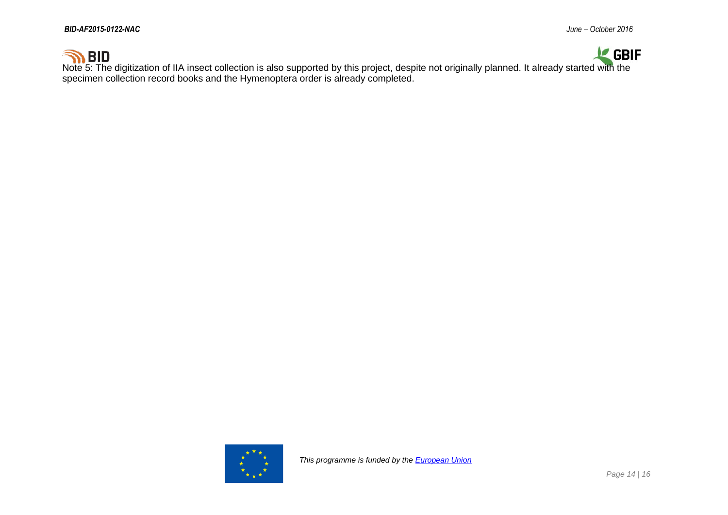

Note 5: The digitization of IIA insect collection is also supported by this project, despite not originally planned. It already started with the specimen collection record books and the Hymenoptera order is already completed.

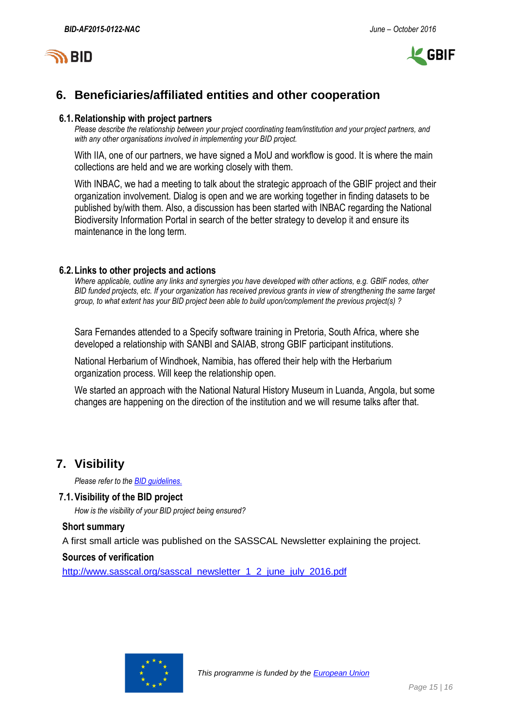

## **6. Beneficiaries/affiliated entities and other cooperation**

#### **6.1.Relationship with project partners**

*Please describe the relationship between your project coordinating team/institution and your project partners, and with any other organisations involved in implementing your BID project.*

With IIA, one of our partners, we have signed a MoU and workflow is good. It is where the main collections are held and we are working closely with them.

With INBAC, we had a meeting to talk about the strategic approach of the GBIF project and their organization involvement. Dialog is open and we are working together in finding datasets to be published by/with them. Also, a discussion has been started with INBAC regarding the National Biodiversity Information Portal in search of the better strategy to develop it and ensure its maintenance in the long term.

#### **6.2.Links to other projects and actions**

*Where applicable, outline any links and synergies you have developed with other actions, e.g. GBIF nodes, other BID funded projects, etc. If your organization has received previous grants in view of strengthening the same target group, to what extent has your BID project been able to build upon/complement the previous project(s) ?*

Sara Fernandes attended to a Specify software training in Pretoria, South Africa, where she developed a relationship with SANBI and SAIAB, strong GBIF participant institutions.

National Herbarium of Windhoek, Namibia, has offered their help with the Herbarium organization process. Will keep the relationship open.

We started an approach with the National Natural History Museum in Luanda, Angola, but some changes are happening on the direction of the institution and we will resume talks after that.

### **7. Visibility**

*Please refer to th[e BID guidelines.](http://bid.gbif.org/en/community/communication-guidelines/)*

#### **7.1.Visibility of the BID project**

*How is the visibility of your BID project being ensured?*

#### **Short summary**

A first small article was published on the SASSCAL Newsletter explaining the project.

#### **Sources of verification**

[http://www.sasscal.org/sasscal\\_newsletter\\_1\\_2\\_june\\_july\\_2016.pdf](http://www.sasscal.org/sasscal_newsletter_1_2_june_july_2016.pdf)